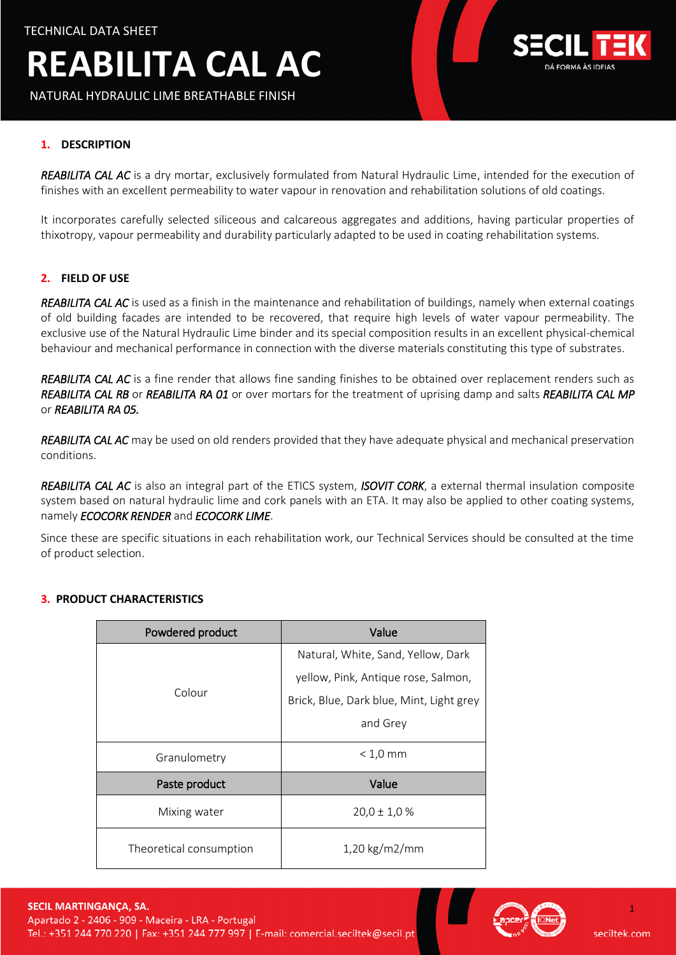NATURAL HYDRAULIC LIME BREATHABLE FINISH



### **1. DESCRIPTION**

*REABILITA CAL AC* is a dry mortar, exclusively formulated from Natural Hydraulic Lime, intended for the execution of finishes with an excellent permeability to water vapour in renovation and rehabilitation solutions of old coatings.

It incorporates carefully selected siliceous and calcareous aggregates and additions, having particular properties of thixotropy, vapour permeability and durability particularly adapted to be used in coating rehabilitation systems.

#### **2. FIELD OF USE**

*REABILITA CAL AC* is used as a finish in the maintenance and rehabilitation of buildings, namely when external coatings of old building facades are intended to be recovered, that require high levels of water vapour permeability. The exclusive use of the Natural Hydraulic Lime binder and its special composition results in an excellent physical-chemical behaviour and mechanical performance in connection with the diverse materials constituting this type of substrates.

*REABILITA CAL AC* is a fine render that allows fine sanding finishes to be obtained over replacement renders such as *REABILITA CAL RB* or *REABILITA RA 01* or over mortars for the treatment of uprising damp and salts *REABILITA CAL MP* or *REABILITA RA 05.*

*REABILITA CAL AC* may be used on old renders provided that they have adequate physical and mechanical preservation conditions.

*REABILITA CAL AC* is also an integral part of the ETICS system, *ISOVIT CORK*, a external thermal insulation composite system based on natural hydraulic lime and cork panels with an ETA. It may also be applied to other coating systems, namely *ECOCORK RENDER* and *ECOCORK LIME*.

Since these are specific situations in each rehabilitation work, our Technical Services should be consulted at the time of product selection.

| Powdered product        | Value                                    |  |
|-------------------------|------------------------------------------|--|
| Colour                  | Natural, White, Sand, Yellow, Dark       |  |
|                         | yellow, Pink, Antique rose, Salmon,      |  |
|                         | Brick, Blue, Dark blue, Mint, Light grey |  |
|                         | and Grey                                 |  |
| Granulometry            | $< 1.0$ mm                               |  |
| Paste product           | Value                                    |  |
| Mixing water            | $20,0 \pm 1,0$ %                         |  |
| Theoretical consumption | $1,20 \text{ kg/m}$ 2/mm                 |  |

#### **3. PRODUCT CHARACTERISTICS**



1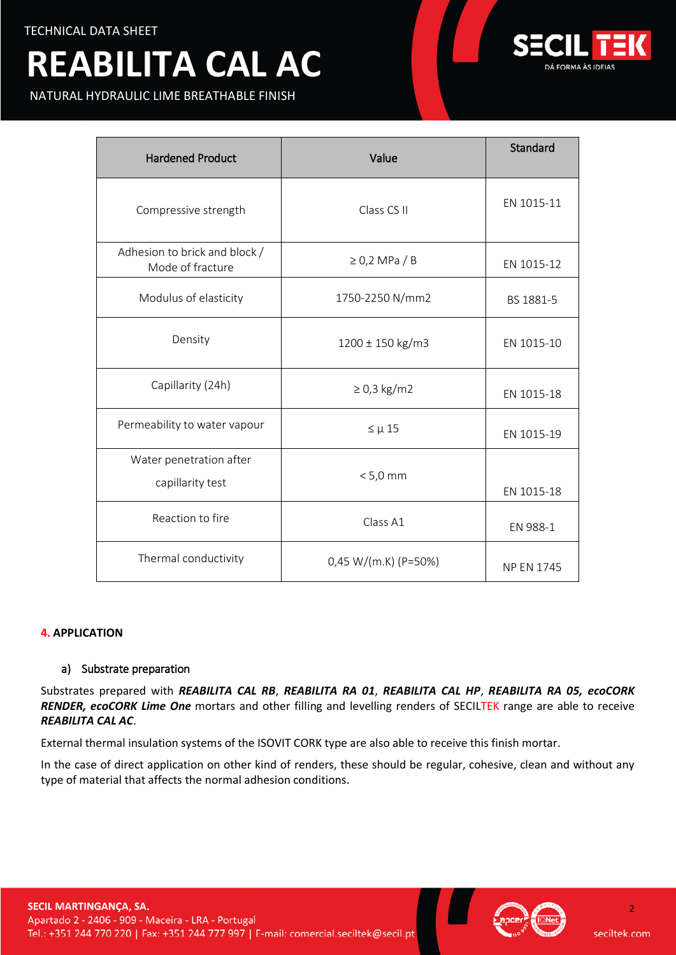NATURAL HYDRAULIC LIME BREATHABLE FINISH



| <b>Hardened Product</b>                           | Value                  | Standard          |
|---------------------------------------------------|------------------------|-------------------|
| Compressive strength                              | Class CS II            | EN 1015-11        |
| Adhesion to brick and block /<br>Mode of fracture | $\geq$ 0,2 MPa / B     | EN 1015-12        |
| Modulus of elasticity                             | 1750-2250 N/mm2        | BS 1881-5         |
| Density                                           | 1200 ± 150 kg/m3       | EN 1015-10        |
| Capillarity (24h)                                 | $\geq$ 0,3 kg/m2       | EN 1015-18        |
| Permeability to water vapour                      | $\leq \mu$ 15          | EN 1015-19        |
| Water penetration after<br>capillarity test       | $< 5.0$ mm             | EN 1015-18        |
| Reaction to fire                                  | Class A1               | EN 988-1          |
| Thermal conductivity                              | $0,45 W/(m.K)$ (P=50%) | <b>NP EN 1745</b> |

## **4. APPLICATION**

## a) Substrate preparation

Substrates prepared with *REABILITA CAL RB*, *REABILITA RA 01*, *REABILITA CAL HP*, *REABILITA RA 05, ecoCORK RENDER, ecoCORK Lime One* mortars and other filling and levelling renders of SECILTEK range are able to receive *REABILITA CAL AC*.

External thermal insulation systems of the ISOVIT CORK type are also able to receive this finish mortar.

In the case of direct application on other kind of renders, these should be regular, cohesive, clean and without any type of material that affects the normal adhesion conditions.





seciltek.com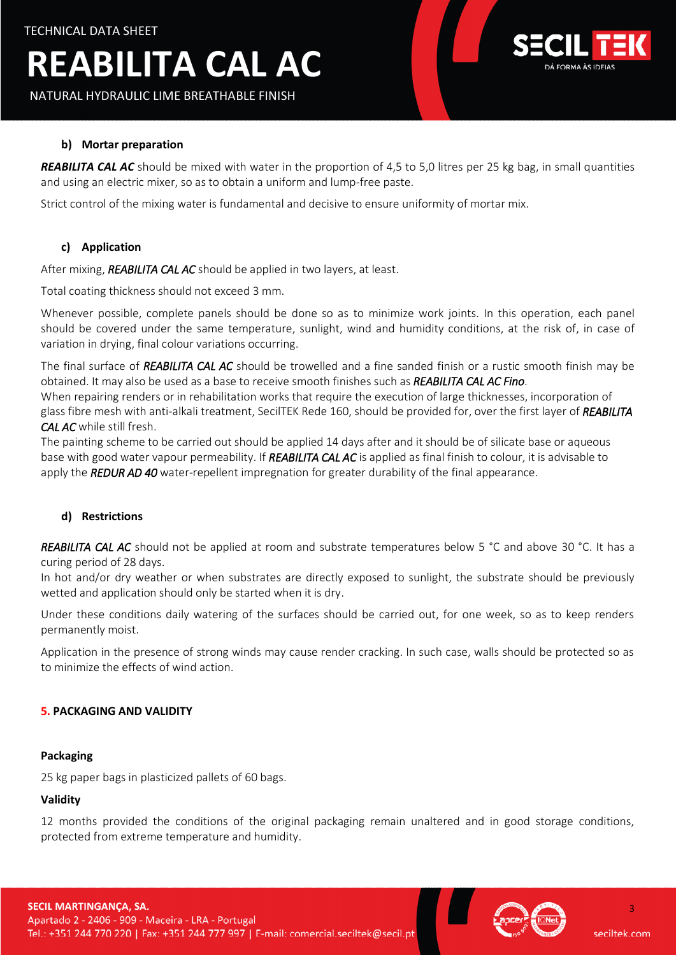NATURAL HYDRAULIC LIME BREATHABLE FINISH



### **b) Mortar preparation**

*REABILITA CAL AC* should be mixed with water in the proportion of 4,5 to 5,0 litres per 25 kg bag, in small quantities and using an electric mixer, so as to obtain a uniform and lump-free paste.

Strict control of the mixing water is fundamental and decisive to ensure uniformity of mortar mix.

## **c) Application**

After mixing, *REABILITA CAL AC* should be applied in two layers, at least.

Total coating thickness should not exceed 3 mm.

Whenever possible, complete panels should be done so as to minimize work joints. In this operation, each panel should be covered under the same temperature, sunlight, wind and humidity conditions, at the risk of, in case of variation in drying, final colour variations occurring.

The final surface of *REABILITA CAL AC* should be trowelled and a fine sanded finish or a rustic smooth finish may be obtained. It may also be used as a base to receive smooth finishes such as *REABILITA CAL AC Fino*.

When repairing renders or in rehabilitation works that require the execution of large thicknesses, incorporation of glass fibre mesh with anti-alkali treatment, SecilTEK Rede 160, should be provided for, over the first layer of *REABILITA CAL AC* while still fresh.

The painting scheme to be carried out should be applied 14 days after and it should be of silicate base or aqueous base with good water vapour permeability. If *REABILITA CAL AC* is applied as final finish to colour, it is advisable to apply the *REDUR AD 40* water-repellent impregnation for greater durability of the final appearance.

## **d) Restrictions**

*REABILITA CAL AC* should not be applied at room and substrate temperatures below 5 °C and above 30 °C. It has a curing period of 28 days.

In hot and/or dry weather or when substrates are directly exposed to sunlight, the substrate should be previously wetted and application should only be started when it is dry.

Under these conditions daily watering of the surfaces should be carried out, for one week, so as to keep renders permanently moist.

Application in the presence of strong winds may cause render cracking. In such case, walls should be protected so as to minimize the effects of wind action.

#### **5. PACKAGING AND VALIDITY**

#### **Packaging**

25 kg paper bags in plasticized pallets of 60 bags.

#### **Validity**

12 months provided the conditions of the original packaging remain unaltered and in good storage conditions, protected from extreme temperature and humidity.